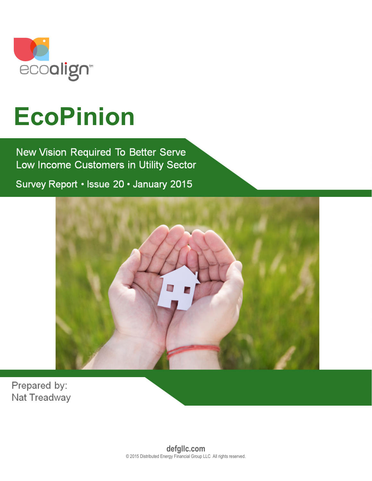

# **EcoPinion**

New Vision Required To Better Serve Low Income Customers in Utility Sector

Survey Report • Issue 20 • January 2015



Prepared by: Nat Treadway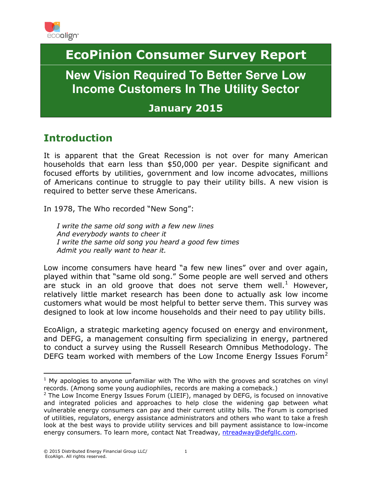

# **EcoPinion Consumer Survey Report**

**New Vision Required To Better Serve Low Income Customers In The Utility Sector**

## **January 2015**

# **Introduction**

It is apparent that the Great Recession is not over for many American households that earn less than \$50,000 per year. Despite significant and focused efforts by utilities, government and low income advocates, millions of Americans continue to struggle to pay their utility bills. A new vision is required to better serve these Americans.

In 1978, The Who recorded "New Song":

*I write the same old song with a few new lines And everybody wants to cheer it I write the same old song you heard a good few times Admit you really want to hear it.*

Low income consumers have heard "a few new lines" over and over again, played within that "same old song." Some people are well served and others are stuck in an old groove that does not serve them well.<sup>[1](#page-1-0)</sup> However, relatively little market research has been done to actually ask low income customers what would be most helpful to better serve them. This survey was designed to look at low income households and their need to pay utility bills.

EcoAlign, a strategic marketing agency focused on energy and environment, and DEFG, a management consulting firm specializing in energy, partnered to conduct a survey using the Russell Research Omnibus Methodology. The DEFG team worked with members of the Low Income Energy Issues Forum<sup>[2](#page-1-1)</sup>

<span id="page-1-0"></span> $1$  My apologies to anyone unfamiliar with The Who with the grooves and scratches on vinyl records. (Among some young audiophiles, records are making a comeback.)  $\overline{a}$ 

<span id="page-1-1"></span> $2$  The Low Income Energy Issues Forum (LIEIF), managed by DEFG, is focused on innovative and integrated policies and approaches to help close the widening gap between what vulnerable energy consumers can pay and their current utility bills. The Forum is comprised of utilities, regulators, energy assistance administrators and others who want to take a fresh look at the best ways to provide utility services and bill payment assistance to low-income energy consumers. To learn more, contact Nat Treadway, [ntreadway@defgllc.com.](mailto:ntreadway@defgllc.com)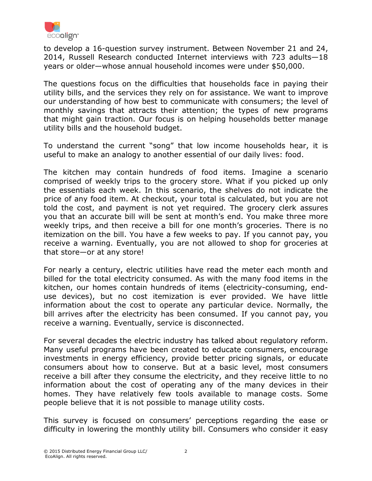

to develop a 16-question survey instrument. Between November 21 and 24, 2014, Russell Research conducted Internet interviews with 723 adults—18 years or older—whose annual household incomes were under \$50,000.

The questions focus on the difficulties that households face in paying their utility bills, and the services they rely on for assistance. We want to improve our understanding of how best to communicate with consumers; the level of monthly savings that attracts their attention; the types of new programs that might gain traction. Our focus is on helping households better manage utility bills and the household budget.

To understand the current "song" that low income households hear, it is useful to make an analogy to another essential of our daily lives: food.

The kitchen may contain hundreds of food items. Imagine a scenario comprised of weekly trips to the grocery store. What if you picked up only the essentials each week. In this scenario, the shelves do not indicate the price of any food item. At checkout, your total is calculated, but you are not told the cost, and payment is not yet required. The grocery clerk assures you that an accurate bill will be sent at month's end. You make three more weekly trips, and then receive a bill for one month's groceries. There is no itemization on the bill. You have a few weeks to pay. If you cannot pay, you receive a warning. Eventually, you are not allowed to shop for groceries at that store—or at any store!

For nearly a century, electric utilities have read the meter each month and billed for the total electricity consumed. As with the many food items in the kitchen, our homes contain hundreds of items (electricity-consuming, enduse devices), but no cost itemization is ever provided. We have little information about the cost to operate any particular device. Normally, the bill arrives after the electricity has been consumed. If you cannot pay, you receive a warning. Eventually, service is disconnected.

For several decades the electric industry has talked about regulatory reform. Many useful programs have been created to educate consumers, encourage investments in energy efficiency, provide better pricing signals, or educate consumers about how to conserve. But at a basic level, most consumers receive a bill after they consume the electricity, and they receive little to no information about the cost of operating any of the many devices in their homes. They have relatively few tools available to manage costs. Some people believe that it is not possible to manage utility costs.

This survey is focused on consumers' perceptions regarding the ease or difficulty in lowering the monthly utility bill. Consumers who consider it easy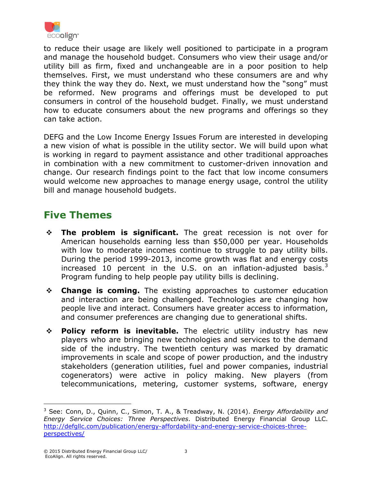

to reduce their usage are likely well positioned to participate in a program and manage the household budget. Consumers who view their usage and/or utility bill as firm, fixed and unchangeable are in a poor position to help themselves. First, we must understand who these consumers are and why they think the way they do. Next, we must understand how the "song" must be reformed. New programs and offerings must be developed to put consumers in control of the household budget. Finally, we must understand how to educate consumers about the new programs and offerings so they can take action.

DEFG and the Low Income Energy Issues Forum are interested in developing a new vision of what is possible in the utility sector. We will build upon what is working in regard to payment assistance and other traditional approaches in combination with a new commitment to customer-driven innovation and change. Our research findings point to the fact that low income consumers would welcome new approaches to manage energy usage, control the utility bill and manage household budgets.

# **Five Themes**

- **The problem is significant.** The great recession is not over for American households earning less than \$50,000 per year. Households with low to moderate incomes continue to struggle to pay utility bills. During the period 1999-2013, income growth was flat and energy costs increased 10 percent in the U.S. on an inflation-adjusted basis. $3$ Program funding to help people pay utility bills is declining.
- **Change is coming.** The existing approaches to customer education and interaction are being challenged. Technologies are changing how people live and interact. Consumers have greater access to information, and consumer preferences are changing due to generational shifts.
- **Policy reform is inevitable.** The electric utility industry has new players who are bringing new technologies and services to the demand side of the industry. The twentieth century was marked by dramatic improvements in scale and scope of power production, and the industry stakeholders (generation utilities, fuel and power companies, industrial cogenerators) were active in policy making. New players (from telecommunications, metering, customer systems, software, energy

 $\overline{a}$ 

<span id="page-3-0"></span><sup>3</sup> See: Conn, D., Quinn, C., Simon, T. A., & Treadway, N. (2014). *Energy Affordability and Energy Service Choices: Three Perspectives*. Distributed Energy Financial Group LLC. [http://defgllc.com/publication/energy-affordability-and-energy-service-choices-three](http://defgllc.com/publication/energy-affordability-and-energy-service-choices-three-perspectives/)[perspectives/](http://defgllc.com/publication/energy-affordability-and-energy-service-choices-three-perspectives/)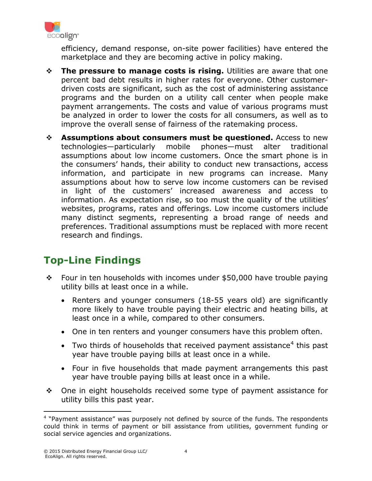

efficiency, demand response, on-site power facilities) have entered the marketplace and they are becoming active in policy making.

- **The pressure to manage costs is rising.** Utilities are aware that one percent bad debt results in higher rates for everyone. Other customerdriven costs are significant, such as the cost of administering assistance programs and the burden on a utility call center when people make payment arrangements. The costs and value of various programs must be analyzed in order to lower the costs for all consumers, as well as to improve the overall sense of fairness of the ratemaking process.
- **Assumptions about consumers must be questioned.** Access to new technologies—particularly mobile phones—must alter traditional assumptions about low income customers. Once the smart phone is in the consumers' hands, their ability to conduct new transactions, access information, and participate in new programs can increase. Many assumptions about how to serve low income customers can be revised in light of the customers' increased awareness and access to information. As expectation rise, so too must the quality of the utilities' websites, programs, rates and offerings. Low income customers include many distinct segments, representing a broad range of needs and preferences. Traditional assumptions must be replaced with more recent research and findings.

# **Top-Line Findings**

- $\cdot \cdot$  Four in ten households with incomes under \$50,000 have trouble paying utility bills at least once in a while.
	- Renters and younger consumers (18-55 years old) are significantly more likely to have trouble paying their electric and heating bills, at least once in a while, compared to other consumers.
	- One in ten renters and younger consumers have this problem often.
	- Two thirds of households that received payment assistance<sup>[4](#page-4-0)</sup> this past year have trouble paying bills at least once in a while.
	- Four in five households that made payment arrangements this past year have trouble paying bills at least once in a while.
- $\div$  One in eight households received some type of payment assistance for utility bills this past year.

<span id="page-4-0"></span><sup>&</sup>lt;sup>4</sup> "Payment assistance" was purposely not defined by source of the funds. The respondents could think in terms of payment or bill assistance from utilities, government funding or social service agencies and organizations. l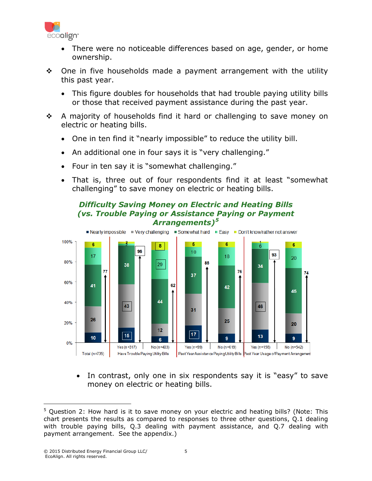

- There were no noticeable differences based on age, gender, or home ownership.
- $\div$  One in five households made a payment arrangement with the utility this past year.
	- This figure doubles for households that had trouble paying utility bills or those that received payment assistance during the past year.
- ❖ A majority of households find it hard or challenging to save money on electric or heating bills.
	- One in ten find it "nearly impossible" to reduce the utility bill.
	- An additional one in four says it is "very challenging."
	- Four in ten say it is "somewhat challenging."
	- That is, three out of four respondents find it at least "somewhat challenging" to save money on electric or heating bills.



*Difficulty Saving Money on Electric and Heating Bills (vs. Trouble Paying or Assistance Paying or Payment Arrangements)[5](#page-5-0)*

• In contrast, only one in six respondents say it is "easy" to save money on electric or heating bills.

<span id="page-5-0"></span> $5$  Question 2: How hard is it to save money on your electric and heating bills? (Note: This chart presents the results as compared to responses to three other questions, Q.1 dealing with trouble paying bills, Q.3 dealing with payment assistance, and Q.7 dealing with payment arrangement. See the appendix.)  $\overline{a}$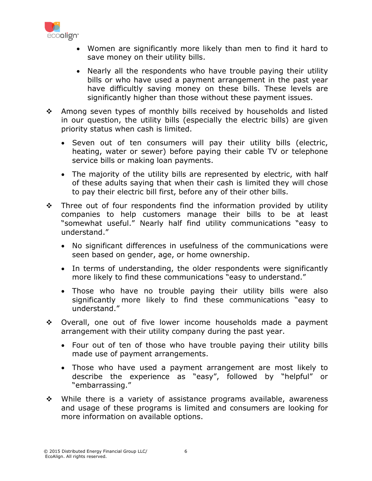

- Women are significantly more likely than men to find it hard to save money on their utility bills.
- Nearly all the respondents who have trouble paying their utility bills or who have used a payment arrangement in the past year have difficultly saving money on these bills. These levels are significantly higher than those without these payment issues.
- \* Among seven types of monthly bills received by households and listed in our question, the utility bills (especially the electric bills) are given priority status when cash is limited.
	- Seven out of ten consumers will pay their utility bills (electric, heating, water or sewer) before paying their cable TV or telephone service bills or making loan payments.
	- The majority of the utility bills are represented by electric, with half of these adults saying that when their cash is limited they will chose to pay their electric bill first, before any of their other bills.
- $\div$  Three out of four respondents find the information provided by utility companies to help customers manage their bills to be at least "somewhat useful." Nearly half find utility communications "easy to understand."
	- No significant differences in usefulness of the communications were seen based on gender, age, or home ownership.
	- In terms of understanding, the older respondents were significantly more likely to find these communications "easy to understand."
	- Those who have no trouble paying their utility bills were also significantly more likely to find these communications "easy to understand."
- Overall, one out of five lower income households made a payment arrangement with their utility company during the past year.
	- Four out of ten of those who have trouble paying their utility bills made use of payment arrangements.
	- Those who have used a payment arrangement are most likely to describe the experience as "easy", followed by "helpful" or "embarrassing."
- While there is a variety of assistance programs available, awareness and usage of these programs is limited and consumers are looking for more information on available options.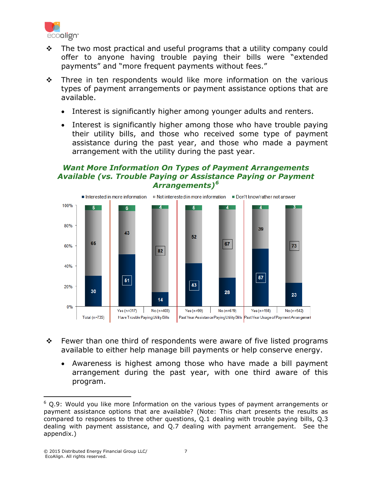

- $\div$  The two most practical and useful programs that a utility company could offer to anyone having trouble paying their bills were "extended payments" and "more frequent payments without fees."
- $\cdot \cdot$  Three in ten respondents would like more information on the various types of payment arrangements or payment assistance options that are available.
	- Interest is significantly higher among younger adults and renters.
	- Interest is significantly higher among those who have trouble paying their utility bills, and those who received some type of payment assistance during the past year, and those who made a payment arrangement with the utility during the past year.

#### *Want More Information On Types of Payment Arrangements Available (vs. Trouble Paying or Assistance Paying or Payment Arrangements)[6](#page-7-0)*



- $\div$  Fewer than one third of respondents were aware of five listed programs available to either help manage bill payments or help conserve energy.
	- Awareness is highest among those who have made a bill payment arrangement during the past year, with one third aware of this program.

<span id="page-7-0"></span> $6$  Q.9: Would you like more Information on the various types of payment arrangements or payment assistance options that are available? (Note: This chart presents the results as compared to responses to three other questions, Q.1 dealing with trouble paying bills, Q.3 dealing with payment assistance, and Q.7 dealing with payment arrangement. See the appendix.) l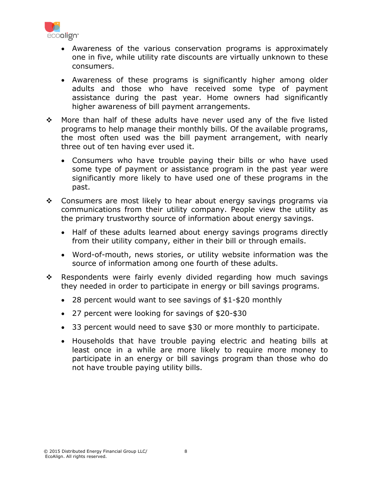

- Awareness of the various conservation programs is approximately one in five, while utility rate discounts are virtually unknown to these consumers.
- Awareness of these programs is significantly higher among older adults and those who have received some type of payment assistance during the past year. Home owners had significantly higher awareness of bill payment arrangements.
- \* More than half of these adults have never used any of the five listed programs to help manage their monthly bills. Of the available programs, the most often used was the bill payment arrangement, with nearly three out of ten having ever used it.
	- Consumers who have trouble paying their bills or who have used some type of payment or assistance program in the past year were significantly more likely to have used one of these programs in the past.
- Consumers are most likely to hear about energy savings programs via communications from their utility company. People view the utility as the primary trustworthy source of information about energy savings.
	- Half of these adults learned about energy savings programs directly from their utility company, either in their bill or through emails.
	- Word-of-mouth, news stories, or utility website information was the source of information among one fourth of these adults.
- $\cdot$  Respondents were fairly evenly divided regarding how much savings they needed in order to participate in energy or bill savings programs.
	- 28 percent would want to see savings of \$1-\$20 monthly
	- 27 percent were looking for savings of \$20-\$30
	- 33 percent would need to save \$30 or more monthly to participate.
	- Households that have trouble paying electric and heating bills at least once in a while are more likely to require more money to participate in an energy or bill savings program than those who do not have trouble paying utility bills.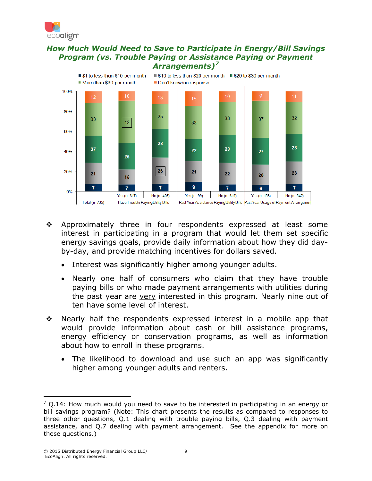

#### *How Much Would Need to Save to Participate in Energy/Bill Savings Program (vs. Trouble Paying or Assistance Paying or Payment Arrangements)[7](#page-9-0)*



- \* Approximately three in four respondents expressed at least some interest in participating in a program that would let them set specific energy savings goals, provide daily information about how they did dayby-day, and provide matching incentives for dollars saved.
	- Interest was significantly higher among younger adults.
	- Nearly one half of consumers who claim that they have trouble paying bills or who made payment arrangements with utilities during the past year are very interested in this program. Nearly nine out of ten have some level of interest.
- $\div$  Nearly half the respondents expressed interest in a mobile app that would provide information about cash or bill assistance programs, energy efficiency or conservation programs, as well as information about how to enroll in these programs.
	- The likelihood to download and use such an app was significantly higher among younger adults and renters.

l

<span id="page-9-0"></span> $7$  O.14: How much would you need to save to be interested in participating in an energy or bill savings program? (Note: This chart presents the results as compared to responses to three other questions, Q.1 dealing with trouble paying bills, Q.3 dealing with payment assistance, and Q.7 dealing with payment arrangement. See the appendix for more on these questions.)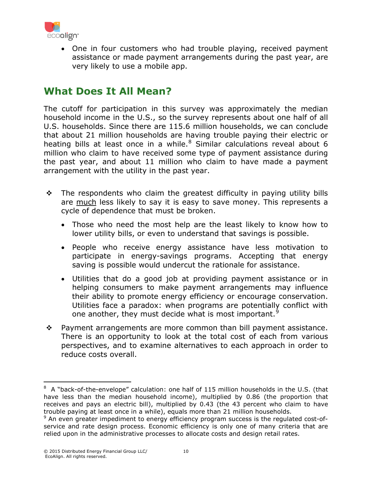

• One in four customers who had trouble playing, received payment assistance or made payment arrangements during the past year, are very likely to use a mobile app.

## **What Does It All Mean?**

The cutoff for participation in this survey was approximately the median household income in the U.S., so the survey represents about one half of all U.S. households. Since there are 115.6 million households, we can conclude that about 21 million households are having trouble paying their electric or heating bills at least once in a while. $8$  Similar calculations reveal about 6 million who claim to have received some type of payment assistance during the past year, and about 11 million who claim to have made a payment arrangement with the utility in the past year.

- $\cdot$  The respondents who claim the greatest difficulty in paying utility bills are much less likely to say it is easy to save money. This represents a cycle of dependence that must be broken.
	- Those who need the most help are the least likely to know how to lower utility bills, or even to understand that savings is possible.
	- People who receive energy assistance have less motivation to participate in energy-savings programs. Accepting that energy saving is possible would undercut the rationale for assistance.
	- Utilities that do a good job at providing payment assistance or in helping consumers to make payment arrangements may influence their ability to promote energy efficiency or encourage conservation. Utilities face a paradox: when programs are potentially conflict with one another, they must decide what is most important.<sup>[9](#page-10-1)</sup>
- $\div$  Payment arrangements are more common than bill payment assistance. There is an opportunity to look at the total cost of each from various perspectives, and to examine alternatives to each approach in order to reduce costs overall.

<span id="page-10-0"></span> $8\,$  A "back-of-the-envelope" calculation: one half of 115 million households in the U.S. (that have less than the median household income), multiplied by 0.86 (the proportion that receives and pays an electric bill), multiplied by 0.43 (the 43 percent who claim to have trouble paying at least once in a while), equals more than 21 million households.  $\overline{a}$ 

<span id="page-10-1"></span> $9$  An even greater impediment to energy efficiency program success is the regulated cost-ofservice and rate design process. Economic efficiency is only one of many criteria that are relied upon in the administrative processes to allocate costs and design retail rates.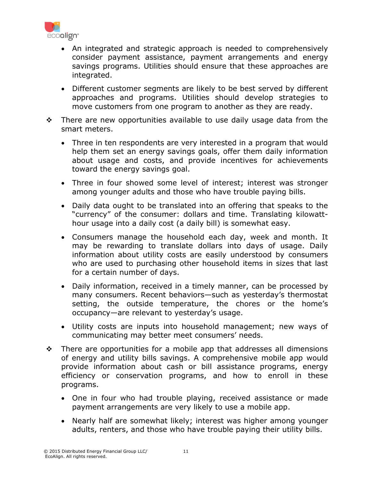

- An integrated and strategic approach is needed to comprehensively consider payment assistance, payment arrangements and energy savings programs. Utilities should ensure that these approaches are integrated.
- Different customer segments are likely to be best served by different approaches and programs. Utilities should develop strategies to move customers from one program to another as they are ready.
- $\div$  There are new opportunities available to use daily usage data from the smart meters.
	- Three in ten respondents are very interested in a program that would help them set an energy savings goals, offer them daily information about usage and costs, and provide incentives for achievements toward the energy savings goal.
	- Three in four showed some level of interest; interest was stronger among younger adults and those who have trouble paying bills.
	- Daily data ought to be translated into an offering that speaks to the "currency" of the consumer: dollars and time. Translating kilowatthour usage into a daily cost (a daily bill) is somewhat easy.
	- Consumers manage the household each day, week and month. It may be rewarding to translate dollars into days of usage. Daily information about utility costs are easily understood by consumers who are used to purchasing other household items in sizes that last for a certain number of days.
	- Daily information, received in a timely manner, can be processed by many consumers. Recent behaviors—such as yesterday's thermostat setting, the outside temperature, the chores or the home's occupancy—are relevant to yesterday's usage.
	- Utility costs are inputs into household management; new ways of communicating may better meet consumers' needs.
- $\div$  There are opportunities for a mobile app that addresses all dimensions of energy and utility bills savings. A comprehensive mobile app would provide information about cash or bill assistance programs, energy efficiency or conservation programs, and how to enroll in these programs.
	- One in four who had trouble playing, received assistance or made payment arrangements are very likely to use a mobile app.
	- Nearly half are somewhat likely; interest was higher among younger adults, renters, and those who have trouble paying their utility bills.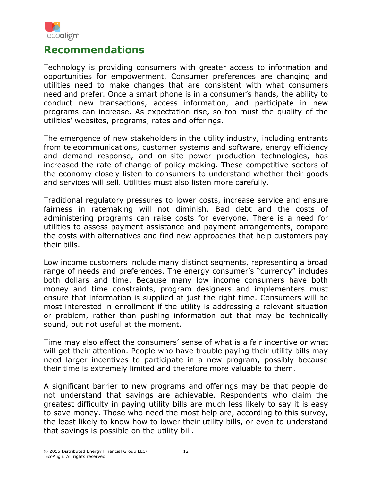

### **Recommendations**

Technology is providing consumers with greater access to information and opportunities for empowerment. Consumer preferences are changing and utilities need to make changes that are consistent with what consumers need and prefer. Once a smart phone is in a consumer's hands, the ability to conduct new transactions, access information, and participate in new programs can increase. As expectation rise, so too must the quality of the utilities' websites, programs, rates and offerings.

The emergence of new stakeholders in the utility industry, including entrants from telecommunications, customer systems and software, energy efficiency and demand response, and on-site power production technologies, has increased the rate of change of policy making. These competitive sectors of the economy closely listen to consumers to understand whether their goods and services will sell. Utilities must also listen more carefully.

Traditional regulatory pressures to lower costs, increase service and ensure fairness in ratemaking will not diminish. Bad debt and the costs of administering programs can raise costs for everyone. There is a need for utilities to assess payment assistance and payment arrangements, compare the costs with alternatives and find new approaches that help customers pay their bills.

Low income customers include many distinct segments, representing a broad range of needs and preferences. The energy consumer's "currency" includes both dollars and time. Because many low income consumers have both money and time constraints, program designers and implementers must ensure that information is supplied at just the right time. Consumers will be most interested in enrollment if the utility is addressing a relevant situation or problem, rather than pushing information out that may be technically sound, but not useful at the moment.

Time may also affect the consumers' sense of what is a fair incentive or what will get their attention. People who have trouble paying their utility bills may need larger incentives to participate in a new program, possibly because their time is extremely limited and therefore more valuable to them.

A significant barrier to new programs and offerings may be that people do not understand that savings are achievable. Respondents who claim the greatest difficulty in paying utility bills are much less likely to say it is easy to save money. Those who need the most help are, according to this survey, the least likely to know how to lower their utility bills, or even to understand that savings is possible on the utility bill.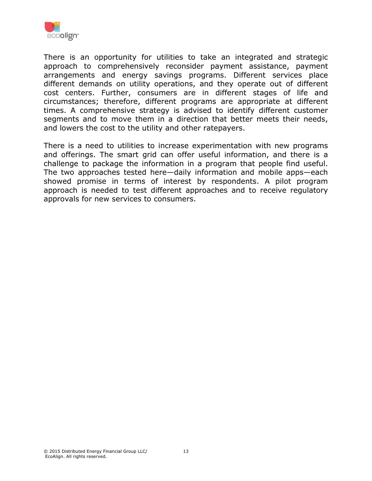

There is an opportunity for utilities to take an integrated and strategic approach to comprehensively reconsider payment assistance, payment arrangements and energy savings programs. Different services place different demands on utility operations, and they operate out of different cost centers. Further, consumers are in different stages of life and circumstances; therefore, different programs are appropriate at different times. A comprehensive strategy is advised to identify different customer segments and to move them in a direction that better meets their needs, and lowers the cost to the utility and other ratepayers.

There is a need to utilities to increase experimentation with new programs and offerings. The smart grid can offer useful information, and there is a challenge to package the information in a program that people find useful. The two approaches tested here—daily information and mobile apps—each showed promise in terms of interest by respondents. A pilot program approach is needed to test different approaches and to receive regulatory approvals for new services to consumers.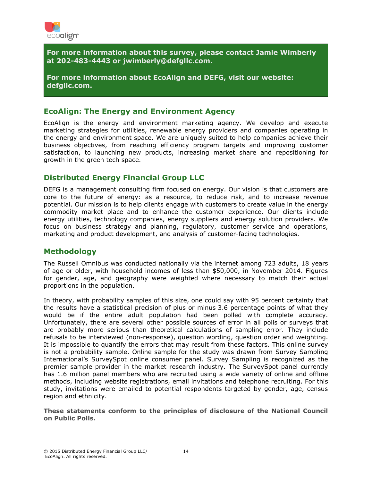

**For more information about this survey, please contact Jamie Wimberly at 202-483-4443 or jwimberly@defgllc.com.**

**For more information about EcoAlign and DEFG, visit our website: defgllc.com.**

#### **EcoAlign: The Energy and Environment Agency**

EcoAlign is the energy and environment marketing agency. We develop and execute marketing strategies for utilities, renewable energy providers and companies operating in the energy and environment space. We are uniquely suited to help companies achieve their business objectives, from reaching efficiency program targets and improving customer satisfaction, to launching new products, increasing market share and repositioning for growth in the green tech space.

#### **Distributed Energy Financial Group LLC**

DEFG is a management consulting firm focused on energy. Our vision is that customers are core to the future of energy: as a resource, to reduce risk, and to increase revenue potential. Our mission is to help clients engage with customers to create value in the energy commodity market place and to enhance the customer experience. Our clients include energy utilities, technology companies, energy suppliers and energy solution providers. We focus on business strategy and planning, regulatory, customer service and operations, marketing and product development, and analysis of customer-facing technologies.

#### **Methodology**

The Russell Omnibus was conducted nationally via the internet among 723 adults, 18 years of age or older, with household incomes of less than \$50,000, in November 2014. Figures for gender, age, and geography were weighted where necessary to match their actual proportions in the population.

In theory, with probability samples of this size, one could say with 95 percent certainty that the results have a statistical precision of plus or minus 3.6 percentage points of what they would be if the entire adult population had been polled with complete accuracy. Unfortunately, there are several other possible sources of error in all polls or surveys that are probably more serious than theoretical calculations of sampling error. They include refusals to be interviewed (non-response), question wording, question order and weighting. It is impossible to quantify the errors that may result from these factors. This online survey is not a probability sample. Online sample for the study was drawn from Survey Sampling International's SurveySpot online consumer panel. Survey Sampling is recognized as the premier sample provider in the market research industry. The SurveySpot panel currently has 1.6 million panel members who are recruited using a wide variety of online and offline methods, including website registrations, email invitations and telephone recruiting. For this study, invitations were emailed to potential respondents targeted by gender, age, census region and ethnicity.

**These statements conform to the principles of disclosure of the National Council on Public Polls.**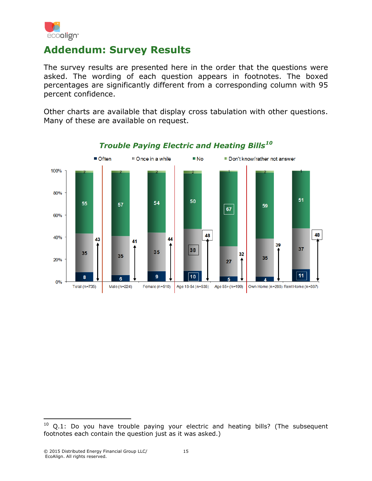

## **Addendum: Survey Results**

The survey results are presented here in the order that the questions were asked. The wording of each question appears in footnotes. The boxed percentages are significantly different from a corresponding column with 95 percent confidence.

Other charts are available that display cross tabulation with other questions. Many of these are available on request.



#### *Trouble Paying Electric and Heating Bills[10](#page-15-0)*

<span id="page-15-0"></span> $10$  Q.1: Do you have trouble paying your electric and heating bills? (The subsequent footnotes each contain the question just as it was asked.)  $\overline{a}$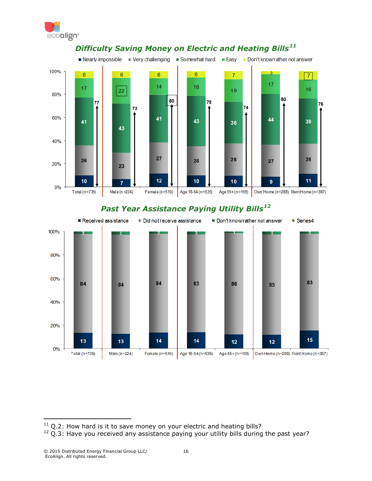



#### *Difficulty Saving Money on Electric and Heating Bills[11](#page-16-0)*

#### *Past Year Assistance Paying Utility Bills[12](#page-16-1)*



<span id="page-16-0"></span> $11$  Q.2: How hard is it to save money on your electric and heating bills?  $\overline{a}$ 

<span id="page-16-1"></span> $12$  Q.3: Have you received any assistance paying your utility bills during the past year?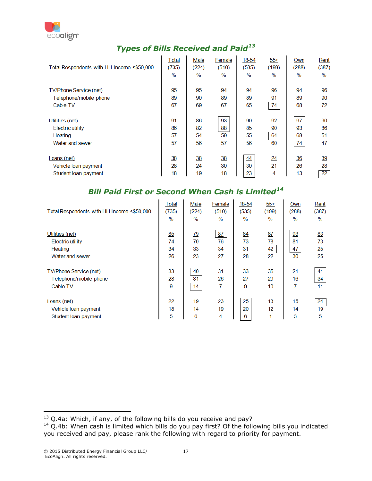

## *Types of Bills Received and Paid[13](#page-17-0)*

| Total Respondents with HH Income <\$50,000 | Total          | Male            | Female          | 18-54            | $55+$          | Own            | Rent            |
|--------------------------------------------|----------------|-----------------|-----------------|------------------|----------------|----------------|-----------------|
|                                            | (735)          | (224)           | (510)           | (535)            | (199)          | (288)          | (387)           |
|                                            | $\%$           | $\%$            | $\%$            | $\%$             | $\%$           | $\%$           | $\%$            |
| <b>TV/Phone Service (net)</b>              | 95             | 95              | $\overline{94}$ | 94               | 96             | 94             | 96              |
| Telephone/mobile phone                     | 89             | 90              | 89              | 89               | 91             | 89             | 90              |
| Cable TV                                   | 67             | 69              | 67              | 65               | 74             | 68             | 72              |
| Utilities (net)                            | 91             | 86              | $\overline{93}$ | $\underline{90}$ | 92             | 97             | $\overline{90}$ |
| Electric utility                           | 86             | 82              | 88              | 85               | 90             | 93             | 86              |
| Heating                                    | 57             | 54              | 59              | 55               | 64             | 68             | 51              |
| Water and sewer                            | 57             | 56              | 57              | 56               | 60             | 74             | 47              |
| Loans (net)                                | $\frac{38}{5}$ | $\overline{38}$ | 38              | 44               | $\frac{24}{1}$ | $\frac{36}{5}$ | $\overline{39}$ |
| Vehicle loan payment                       | 28             | 24              | 30              | 30               | 21             | 26             | 28              |
| Student Ioan payment                       | 18             | 19              | 18              | 23               | 4              | 13             | $\overline{22}$ |

#### *Bill Paid First or Second When Cash is Limited[14](#page-17-1)*

| Total Respondents with HH Income <\$50,000 | Total           | Male           | Female          | 18-54          | $55+$          | Own       | Rent            |
|--------------------------------------------|-----------------|----------------|-----------------|----------------|----------------|-----------|-----------------|
|                                            | (735)           | (224)          | (510)           | (535)          | (199)          | (288)     | (387)           |
|                                            | $\%$            | $\%$           | $\frac{0}{0}$   | $\%$           | $\%$           | $\%$      | $\%$            |
| Utilities (net)                            | 85              | $\frac{79}{2}$ | 87              | 84             | 87             | 93        | 83              |
| <b>Electric utility</b>                    | 74              | 70             | 76              | 73             | 78             | 81        | 73              |
| Heating                                    | 34              | 33             | 34              | 31             | 42             | 47        | 25              |
| Water and sewer                            | 26              | 23             | 27              | 28             | 22             | 30        | 25              |
| <b>TV/Phone Service (net)</b>              | $\frac{33}{2}$  | $\frac{40}{5}$ | $\frac{31}{2}$  | $\frac{33}{2}$ | $\frac{35}{5}$ | 21        | 41              |
| Telephone/mobile phone                     | 28              | 31             | 26              | 27             | 29             | 16        | 34              |
| Cable TV                                   | 9               | 14             | 7               | 9              | 10             | 7         | 11              |
| Loans (net)                                | $\overline{22}$ | <u>19</u>      | $\overline{23}$ | 25             | 13             | <u>15</u> | $\overline{24}$ |
| Vehicle loan payment                       | 18              | 14             | 19              | 20             | 12             | 14        | 19              |
| Student loan payment                       | 5               | 6              | 4               | 6              | 1              | 3         | 5               |

<span id="page-17-0"></span> $^{13}$  Q.4a: Which, if any, of the following bills do you receive and pay? l

<span id="page-17-1"></span> $14$  Q.4b: When cash is limited which bills do you pay first? Of the following bills you indicated you received and pay, please rank the following with regard to priority for payment.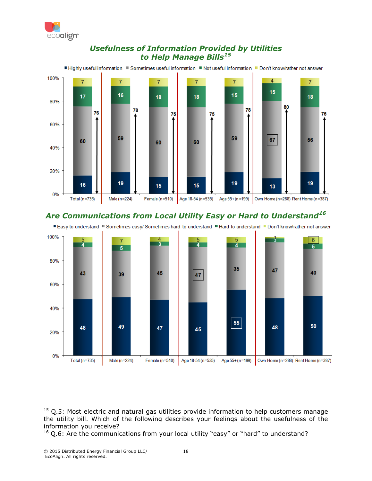

#### *Usefulness of Information Provided by Utilities to Help Manage Bills[15](#page-18-0)*



#### *Are Communications from Local Utility Easy or Hard to Understand[16](#page-18-1)*





 $\overline{a}$ 

<span id="page-18-0"></span> $15$  Q.5: Most electric and natural gas utilities provide information to help customers manage the utility bill. Which of the following describes your feelings about the usefulness of the information you receive?

<span id="page-18-1"></span> $16$  Q.6: Are the communications from your local utility "easy" or "hard" to understand?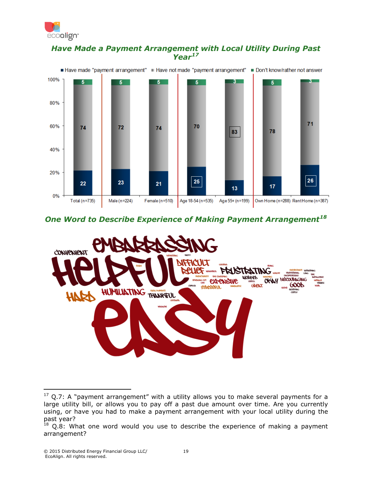

#### *Have Made a Payment Arrangement with Local Utility During Past Year[17](#page-19-0)*



#### *One Word to Describe Experience of Making Payment Arrangement[18](#page-19-1)*



<span id="page-19-0"></span> $17$  Q.7: A "payment arrangement" with a utility allows you to make several payments for a large utility bill, or allows you to pay off a past due amount over time. Are you currently using, or have you had to make a payment arrangement with your local utility during the past year?  $\overline{a}$ 

<span id="page-19-1"></span> $18$  Q.8: What one word would you use to describe the experience of making a payment arrangement?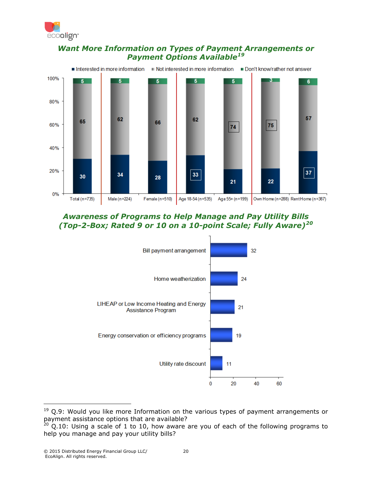

#### *Want More Information on Types of Payment Arrangements or Payment Options Available[19](#page-20-0)*



#### *Awareness of Programs to Help Manage and Pay Utility Bills (Top-2-Box; Rated 9 or 10 on a 10-point Scale; Fully Aware)[20](#page-20-1)*



<span id="page-20-0"></span> $19$  Q.9: Would you like more Information on the various types of payment arrangements or payment assistance options that are available?

 $\overline{a}$ 

<span id="page-20-1"></span> $^{20}$  Q.10: Using a scale of 1 to 10, how aware are you of each of the following programs to help you manage and pay your utility bills?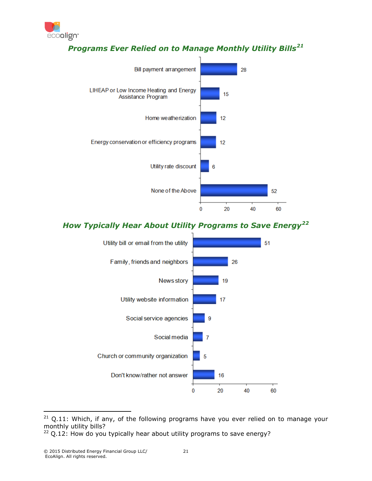

#### *Programs Ever Relied on to Manage Monthly Utility Bills[21](#page-21-0)*



#### *How Typically Hear About Utility Programs to Save Energy[22](#page-21-1)*



<span id="page-21-0"></span> $21$  Q.11: Which, if any, of the following programs have you ever relied on to manage your monthly utility bills? l

<span id="page-21-1"></span> $22$  Q.12: How do you typically hear about utility programs to save energy?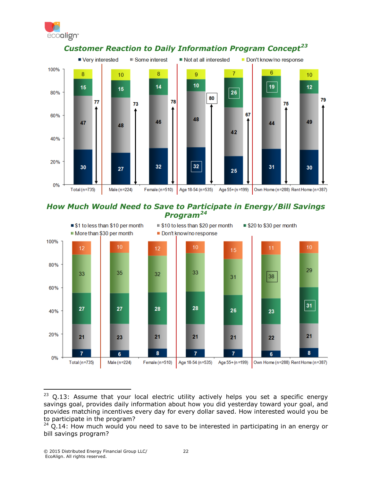



#### *Customer Reaction to Daily Information Program Concept[23](#page-22-0)*





<span id="page-22-0"></span> $23$  Q.13: Assume that your local electric utility actively helps you set a specific energy savings goal, provides daily information about how you did yesterday toward your goal, and provides matching incentives every day for every dollar saved. How interested would you be to participate in the program?  $\overline{a}$ 

<span id="page-22-1"></span> $24$  Q.14: How much would you need to save to be interested in participating in an energy or bill savings program?